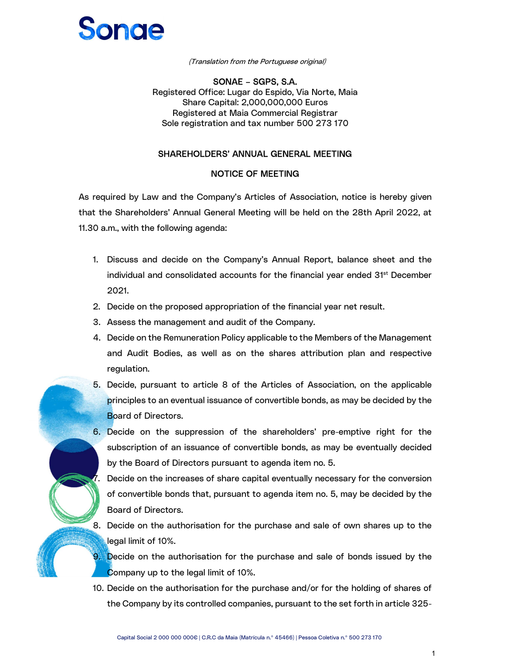## Sonde

(Translation from the Portuguese original)

 SONAE – SGPS, S.A. Registered Office: Lugar do Espido, Via Norte, Maia Share Capital: 2,000,000,000 Euros Registered at Maia Commercial Registrar Sole registration and tax number 500 273 170

#### SHAREHOLDERS' ANNUAL GENERAL MEETING

#### NOTICE OF MEETING

 As required by Law and the Company's Articles of Association, notice is hereby given that the Shareholders' Annual General Meeting will be held on the 28th April 2022, at 11.30 a.m., with the following agenda:

- 1. Discuss and decide on the Company's Annual Report, balance sheet and the individual and consolidated accounts for the financial year ended  $31<sup>st</sup>$  December 2021.
- 2. Decide on the proposed appropriation of the financial year net result.
- 3. Assess the management and audit of the Company.
- 4. Decide on the Remuneration Policy applicable to the Members of the Management and Audit Bodies, as well as on the shares attribution plan and respective regulation.
- 5. Decide, pursuant to article 8 of the Articles of Association, on the applicable principles to an eventual issuance of convertible bonds, as may be decided by the Board of Directors.
- 6. Decide on the suppression of the shareholders' pre-emptive right for the subscription of an issuance of convertible bonds, as may be eventually decided by the Board of Directors pursuant to agenda item no. 5.

7. Decide on the increases of share capital eventually necessary for the conversion of convertible bonds that, pursuant to agenda item no. 5, may be decided by the Board of Directors.

8. Decide on the authorisation for the purchase and sale of own shares up to the legal limit of 10%.

9. Decide on the authorisation for the purchase and sale of bonds issued by the Company up to the legal limit of 10%.

10. Decide on the authorisation for the purchase and/or for the holding of shares of the Company by its controlled companies, pursuant to the set forth in article 325-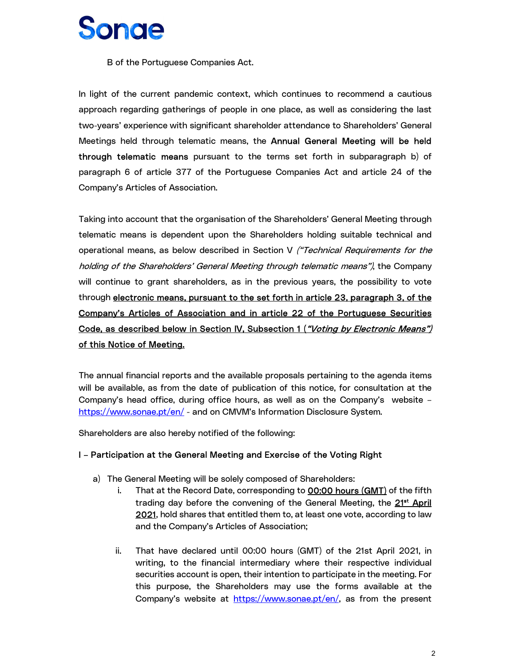B of the Portuguese Companies Act.

In light of the current pandemic context, which continues to recommend a cautious approach regarding gatherings of people in one place, as well as considering the last two-years' experience with significant shareholder attendance to Shareholders' General Meetings held through telematic means, the Annual General Meeting will be held through telematic means pursuant to the terms set forth in subparagraph b) of paragraph 6 of article 377 of the Portuguese Companies Act and article 24 of the Company's Articles of Association.

Taking into account that the organisation of the Shareholders' General Meeting through telematic means is dependent upon the Shareholders holding suitable technical and operational means, as below described in Section V *("Technical Requirements for the* holding of the Shareholders' General Meeting through telematic means"), the Company will continue to grant shareholders, as in the previous years, the possibility to vote through electronic means, pursuant to the set forth in article 23, paragraph 3, of the Company's Articles of Association and in article 22 of the Portuguese Securities Code, as described below in Section IV, Subsection 1 (*"Voting by Electronic Means")*<br>of this Notice of Meeting.

The annual financial reports and the available proposals pertaining to the agenda items will be available, as from the date of publication of this notice, for consultation at the Company's head office, during office hours, as well as on the Company's website – https://www.sonae.pt/en/ - and on CMVM's Information Disclosure System.

Shareholders are also hereby notified of the following:

#### I – Participation at the General Meeting and Exercise of the Voting Right

- a) The General Meeting will be solely composed of Shareholders:
	- i. That at the Record Date, corresponding to **00:00 hours (GMT)** of the fifth trading day before the convening of the General Meeting, the 21<sup>st</sup> April 2021, hold shares that entitled them to, at least one vote, according to law and the Company's Articles of Association;
	- ii. That have declared until 00:00 hours (GMT) of the 21st April 2021, in writing, to the financial intermediary where their respective individual securities account is open, their intention to participate in the meeting. For this purpose, the Shareholders may use the forms available at the Company's website at https://www.sonae.pt/en/, as from the present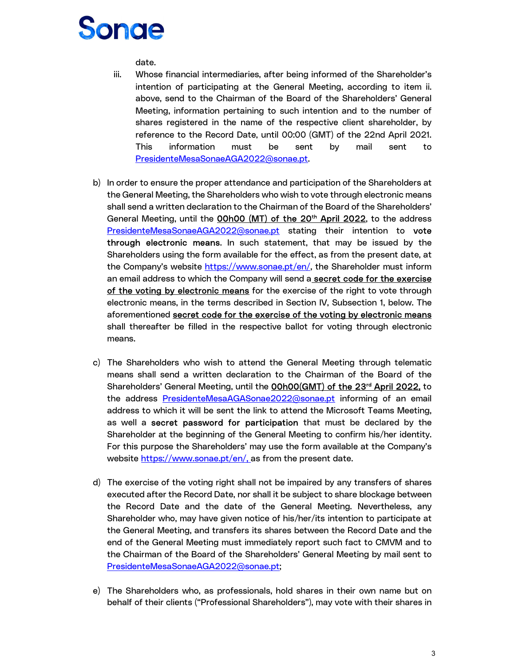date.

- iii. Whose financial intermediaries, after being informed of the Shareholder's intention of participating at the General Meeting, according to item ii. above, send to the Chairman of the Board of the Shareholders' General Meeting, information pertaining to such intention and to the number of shares registered in the name of the respective client shareholder, by reference to the Record Date, until 00:00 (GMT) of the 22nd April 2021. This information must be sent by mail sent to
- PresidenteMesaSonaeAGA2022@sonae.pt.<br>b) In order to ensure the proper attendance and participation of the Shareholders at the General Meeting, the Shareholders who wish to vote through electronic means shall send a written declaration to the Chairman of the Board of the Shareholders' General Meeting, until the 00h00 (MT) of the 20<sup>th</sup> April 2022, to the address PresidenteMesaSonaeAGA2022@sonae.pt stating their intention to vote through electronic means. In such statement, that may be issued by the Shareholders using the form available for the effect, as from the present date, at the Company's website https://www.sonae.pt/en/, the Shareholder must inform an email address to which the Company will send a secret code for the exercise of the voting by electronic means for the exercise of the right to vote through electronic means, in the terms described in Section IV, Subsection 1, below. The aforementioned secret code for the exercise of the voting by electronic means shall thereafter be filled in the respective ballot for voting through electronic means.
- c) The Shareholders who wish to attend the General Meeting through telematic means shall send a written declaration to the Chairman of the Board of the Shareholders' General Meeting, until the **00h00(GMT) of the 23<sup>rd</sup> April 2022**, to the address PresidenteMesaAGASonae2022@sonae.pt informing of an email address to which it will be sent the link to attend the Microsoft Teams Meeting, as well a secret password for participation that must be declared by the Shareholder at the beginning of the General Meeting to confirm his/her identity. For this purpose the Shareholders' may use the form available at the Company's website https://www.sonae.pt/en/, as from the present date.
- d) The exercise of the voting right shall not be impaired by any transfers of shares executed after the Record Date, nor shall it be subject to share blockage between the Record Date and the date of the General Meeting. Nevertheless, any Shareholder who, may have given notice of his/her/its intention to participate at the General Meeting, and transfers its shares between the Record Date and the end of the General Meeting must immediately report such fact to CMVM and to the Chairman of the Board of the Shareholders' General Meeting by mail sent to PresidenteMesaSonaeAGA2022@sonae.pt;
- e) The Shareholders who, as professionals, hold shares in their own name but on behalf of their clients ("Professional Shareholders"), may vote with their shares in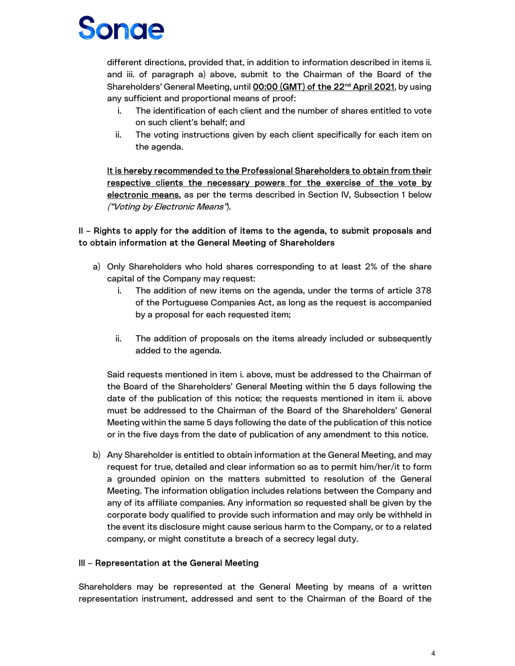# Sonde

different directions, provided that, in addition to information described in items ii. and iii. of paragraph a) above, submit to the Chairman of the Board of the Shareholders' General Meeting, until **00:00 (GMT) of the 22<sup>nd</sup> April 2021**, by using any sufficient and proportional means of proof:

- i. The identification of each client and the number of shares entitled to vote on such client's behalf; and
- ii. The voting instructions given by each client specifically for each item on the agenda.

It is hereby recommended to the Professional Shareholders to obtain from their respective clients the necessary powers for the exercise of the vote by electronic means, as per the terms described in Section IV, Subsection 1 below ("Voting by Electronic Means").

#### II – Rights to apply for the addition of items to the agenda, to submit proposals and to obtain information at the General Meeting of Shareholders

- a) Only Shareholders who hold shares corresponding to at least 2% of the share capital of the Company may request:
	- i. The addition of new items on the agenda, under the terms of article 378 of the Portuguese Companies Act, as long as the request is accompanied by a proposal for each requested item;
	- ii. The addition of proposals on the items already included or subsequently added to the agenda.

Said requests mentioned in item i. above, must be addressed to the Chairman of the Board of the Shareholders' General Meeting within the 5 days following the date of the publication of this notice; the requests mentioned in item ii. above must be addressed to the Chairman of the Board of the Shareholders' General Meeting within the same 5 days following the date of the publication of this notice or in the five days from the date of publication of any amendment to this notice.

b) Any Shareholder is entitled to obtain information at the General Meeting, and may request for true, detailed and clear information so as to permit him/her/it to form a grounded opinion on the matters submitted to resolution of the General Meeting. The information obligation includes relations between the Company and any of its affiliate companies. Any information so requested shall be given by the corporate body qualified to provide such information and may only be withheld in the event its disclosure might cause serious harm to the Company, or to a related company, or might constitute a breach of a secrecy legal duty.

#### III – Representation at the General Meeting

 Shareholders may be represented at the General Meeting by means of a written representation instrument, addressed and sent to the Chairman of the Board of the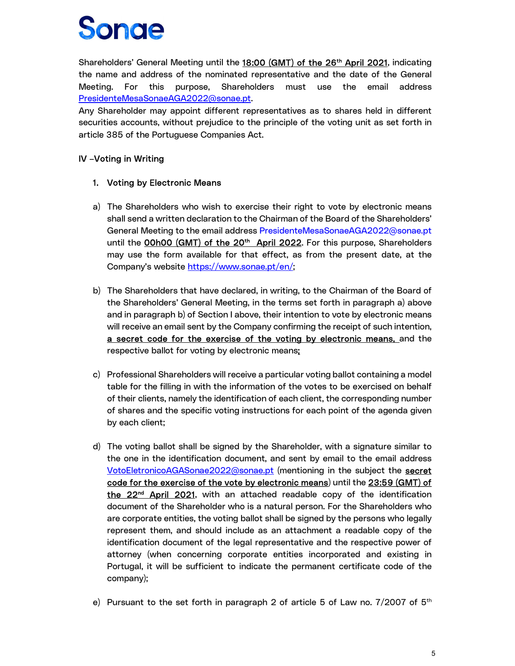Shareholders' General Meeting until the 18:00 (GMT) of the 26<sup>th</sup> April 2021, indicating the name and address of the nominated representative and the date of the General Meeting. For this purpose, Shareholders must use the email address PresidenteMesaSonaeAGA2022@sonae.pt.<br>Any Shareholder may appoint different representatives as to shares held in different

securities accounts, without prejudice to the principle of the voting unit as set forth in article 385 of the Portuguese Companies Act.

#### IV –Voting in Writing

#### 1. Voting by Electronic Means

- a) The Shareholders who wish to exercise their right to vote by electronic means shall send a written declaration to the Chairman of the Board of the Shareholders' General Meeting to the email address PresidenteMesaSonaeAGA2022@sonae.pt until the OOhOO (GMT) of the 20<sup>th</sup> April 2022. For this purpose, Shareholders may use the form available for that effect, as from the present date, at the Company's website https://www.sonae.pt/en/;
- b) The Shareholders that have declared, in writing, to the Chairman of the Board of the Shareholders' General Meeting, in the terms set forth in paragraph a) above and in paragraph b) of Section I above, their intention to vote by electronic means will receive an email sent by the Company confirming the receipt of such intention, a secret code for the exercise of the voting by electronic means, and the respective ballot for voting by electronic means;
- c) Professional Shareholders will receive a particular voting ballot containing a model table for the filling in with the information of the votes to be exercised on behalf of their clients, namely the identification of each client, the corresponding number of shares and the specific voting instructions for each point of the agenda given by each client;
- d) The voting ballot shall be signed by the Shareholder, with a signature similar to the one in the identification document, and sent by email to the email address VotoEletronicoAGASonae2022@sonae.pt (mentioning in the subject the secret code for the exercise of the vote by electronic means) until the 23:59 (GMT) of the 22<sup>nd</sup> April 2021, with an attached readable copy of the identification document of the Shareholder who is a natural person. For the Shareholders who are corporate entities, the voting ballot shall be signed by the persons who legally represent them, and should include as an attachment a readable copy of the identification document of the legal representative and the respective power of attorney (when concerning corporate entities incorporated and existing in Portugal, it will be sufficient to indicate the permanent certificate code of the company);
- e) Pursuant to the set forth in paragraph 2 of article 5 of Law no. 7/2007 of  $5<sup>th</sup>$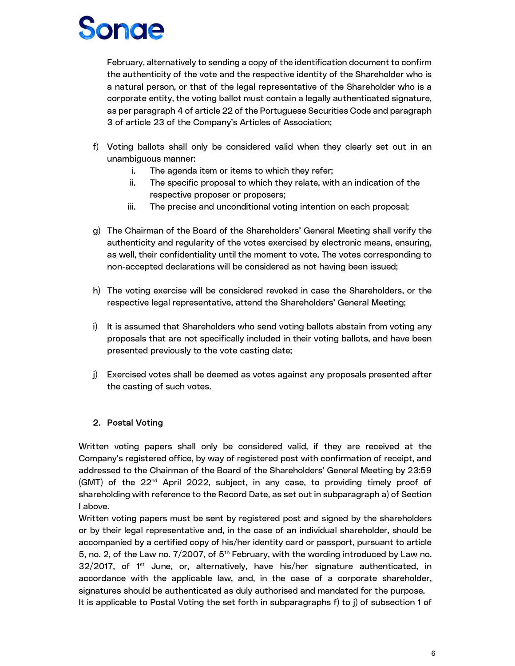February, alternatively to sending a copy of the identification document to confirm the authenticity of the vote and the respective identity of the Shareholder who is a natural person, or that of the legal representative of the Shareholder who is a corporate entity, the voting ballot must contain a legally authenticated signature, as per paragraph 4 of article 22 of the Portuguese Securities Code and paragraph 3 of article 23 of the Company's Articles of Association;

- f) Voting ballots shall only be considered valid when they clearly set out in an unambiguous manner:
	- i. The agenda item or items to which they refer;
	- ii. The specific proposal to which they relate, with an indication of the respective proposer or proposers;
	- iii. The precise and unconditional voting intention on each proposal;
- g) The Chairman of the Board of the Shareholders' General Meeting shall verify the authenticity and regularity of the votes exercised by electronic means, ensuring, as well, their confidentiality until the moment to vote. The votes corresponding to non-accepted declarations will be considered as not having been issued;
- h) The voting exercise will be considered revoked in case the Shareholders, or the respective legal representative, attend the Shareholders' General Meeting;
- i) It is assumed that Shareholders who send voting ballots abstain from voting any proposals that are not specifically included in their voting ballots, and have been presented previously to the vote casting date;
- j) Exercised votes shall be deemed as votes against any proposals presented after the casting of such votes.

#### 2. Postal Voting

 Written voting papers shall only be considered valid, if they are received at the Company's registered office, by way of registered post with confirmation of receipt, and addressed to the Chairman of the Board of the Shareholders' General Meeting by 23:59 (GMT) of the 22<sup>nd</sup> April 2022, subject, in any case, to providing timely proof of shareholding with reference to the Record Date, as set out in subparagraph a) of Section I above.

Written voting papers must be sent by registered post and signed by the shareholders or by their legal representative and, in the case of an individual shareholder, should be accompanied by a certified copy of his/her identity card or passport, pursuant to article 5, no. 2, of the Law no.  $7/2007$ , of  $5<sup>th</sup>$  February, with the wording introduced by Law no.  $32/2017$ , of 1<sup>st</sup> June, or, alternatively, have his/her signature authenticated, in accordance with the applicable law, and, in the case of a corporate shareholder, signatures should be authenticated as duly authorised and mandated for the purpose. It is applicable to Postal Voting the set forth in subparagraphs f) to j) of subsection 1 of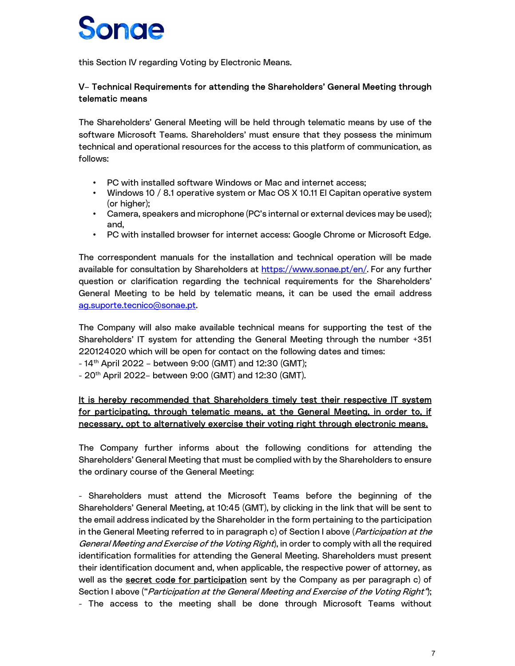this Section IV regarding Voting by Electronic Means.

#### V– Technical Requirements for attending the Shareholders' General Meeting through telematic means

 The Shareholders' General Meeting will be held through telematic means by use of the software Microsoft Teams. Shareholders' must ensure that they possess the minimum technical and operational resources for the access to this platform of communication, as follows:

- PC with installed software Windows or Mac and internet access;
- Windows 10 / 8.1 operative system or Mac OS X 10.11 El Capitan operative system (or higher);
- Camera, speakers and microphone (PC's internal or external devices may be used); and,
- PC with installed browser for internet access: Google Chrome or Microsoft Edge.

The correspondent manuals for the installation and technical operation will be made available for consultation by Shareholders at https://www.sonae.pt/en/. For any further question or clarification regarding the technical requirements for the Shareholders' General Meeting to be held by telematic means, it can be used the email address

ag.suporte.tecnico@sonae.pt.<br>The Company will also make available technical means for supporting the test of the Shareholders' IT system for attending the General Meeting through the number +351 220124020 which will be open for contact on the following dates and times:

- $-14$ <sup>th</sup> April 2022 between 9:00 (GMT) and 12:30 (GMT);
- $-20$ <sup>th</sup> April 2022– between 9:00 (GMT) and 12:30 (GMT).

#### It is hereby recommended that Shareholders timely test their respective IT system for participating, through telematic means, at the General Meeting, in order to, if necessary, opt to alternatively exercise their voting right through electronic means.

The Company further informs about the following conditions for attending the Shareholders' General Meeting that must be complied with by the Shareholders to ensure the ordinary course of the General Meeting:

- Shareholders must attend the Microsoft Teams before the beginning of the Shareholders' General Meeting, at 10:45 (GMT), by clicking in the link that will be sent to the email address indicated by the Shareholder in the form pertaining to the participation in the General Meeting referred to in paragraph c) of Section I above (*Participation at the* General Meeting and Exercise of the Voting Right), in order to comply with all the required identification formalities for attending the General Meeting. Shareholders must present their identification document and, when applicable, the respective power of attorney, as well as the **secret code for participation** sent by the Company as per paragraph c) of Section I above ("Participation at the General Meeting and Exercise of the Voting Right"); - The access to the meeting shall be done through Microsoft Teams without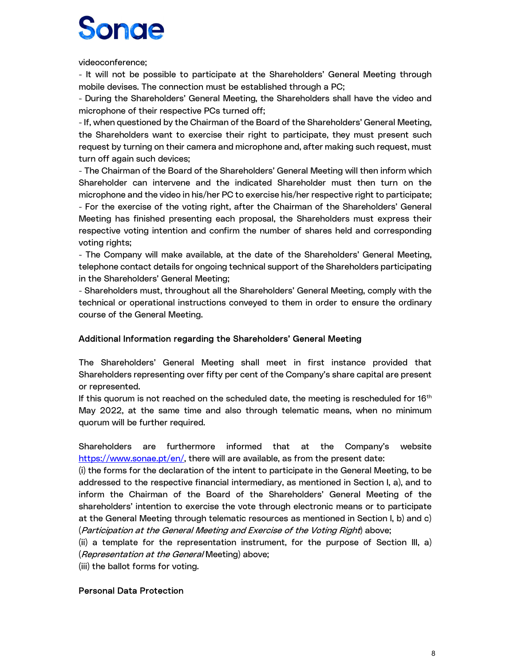videoconference;

- It will not be possible to participate at the Shareholders' General Meeting through mobile devises. The connection must be established through a PC;

- During the Shareholders' General Meeting, the Shareholders shall have the video and microphone of their respective PCs turned off;

- If, when questioned by the Chairman of the Board of the Shareholders' General Meeting, the Shareholders want to exercise their right to participate, they must present such request by turning on their camera and microphone and, after making such request, must turn off again such devices;

- The Chairman of the Board of the Shareholders' General Meeting will then inform which Shareholder can intervene and the indicated Shareholder must then turn on the microphone and the video in his/her PC to exercise his/her respective right to participate; - For the exercise of the voting right, after the Chairman of the Shareholders' General Meeting has finished presenting each proposal, the Shareholders must express their respective voting intention and confirm the number of shares held and corresponding voting rights;

- The Company will make available, at the date of the Shareholders' General Meeting, telephone contact details for ongoing technical support of the Shareholders participating in the Shareholders' General Meeting;

- Shareholders must, throughout all the Shareholders' General Meeting, comply with the technical or operational instructions conveyed to them in order to ensure the ordinary course of the General Meeting.

#### Additional Information regarding the Shareholders' General Meeting

 The Shareholders' General Meeting shall meet in first instance provided that Shareholders representing over fifty per cent of the Company's share capital are present or represented.

If this quorum is not reached on the scheduled date, the meeting is rescheduled for  $16<sup>th</sup>$  May 2022, at the same time and also through telematic means, when no minimum quorum will be further required.

Shareholders are furthermore informed that at the Company's website https://www.sonae.pt/en/, there will are available, as from the present date:

(i) the forms for the declaration of the intent to participate in the General Meeting, to be addressed to the respective financial intermediary, as mentioned in Section I, a), and to inform the Chairman of the Board of the Shareholders' General Meeting of the shareholders' intention to exercise the vote through electronic means or to participate at the General Meeting through telematic resources as mentioned in Section I, b) and c) (Participation at the General Meeting and Exercise of the Voting Right) above;

(ii) a template for the representation instrument, for the purpose of Section III, a) (Representation at the General Meeting) above;

(iii) the ballot forms for voting.

#### Personal Data Protection